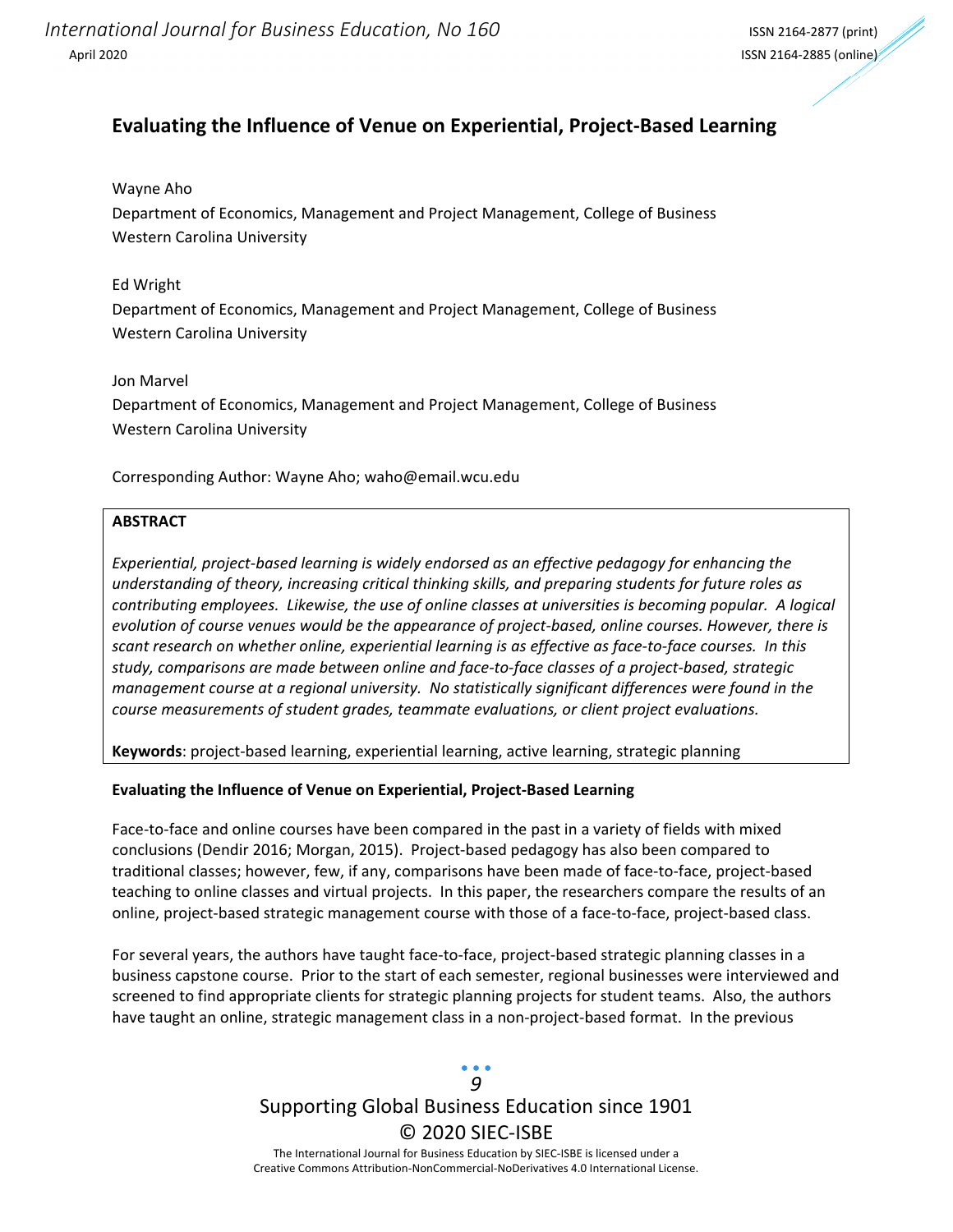### **Evaluating the Influence of Venue on Experiential, Project‐Based Learning**

#### Wayne Aho

Department of Economics, Management and Project Management, College of Business Western Carolina University

### Ed Wright

Department of Economics, Management and Project Management, College of Business Western Carolina University

### Jon Marvel

Department of Economics, Management and Project Management, College of Business Western Carolina University

Corresponding Author: Wayne Aho; waho@email.wcu.edu

### **ABSTRACT**

*Experiential, project‐based learning is widely endorsed as an effective pedagogy for enhancing the understanding of theory, increasing critical thinking skills, and preparing students for future roles as* contributing employees. Likewise, the use of online classes at universities is becoming popular. A logical *evolution of course venues would be the appearance of project‐based, online courses. However, there is* scant research on whether online, experiential learning is as effective as face-to-face courses. In this study, comparisons are made between online and face-to-face classes of a project-based, strategic *management course at a regional university. No statistically significant differences were found in the course measurements of student grades, teammate evaluations, or client project evaluations.* 

**Keywords**: project‐based learning, experiential learning, active learning, strategic planning

### **Evaluating the Influence of Venue on Experiential, Project‐Based Learning**

Face-to-face and online courses have been compared in the past in a variety of fields with mixed conclusions (Dendir 2016; Morgan, 2015). Project‐based pedagogy has also been compared to traditional classes; however, few, if any, comparisons have been made of face‐to‐face, project‐based teaching to online classes and virtual projects. In this paper, the researchers compare the results of an online, project‐based strategic management course with those of a face‐to‐face, project‐based class.

For several years, the authors have taught face-to-face, project-based strategic planning classes in a business capstone course. Prior to the start of each semester, regional businesses were interviewed and screened to find appropriate clients for strategic planning projects for student teams. Also, the authors have taught an online, strategic management class in a non-project-based format. In the previous

### Supporting Global Business Education since 1901 © 2020 SIEC‐ISBE The International Journal for Business Education by SIEC‐ISBE is licensed under a *9*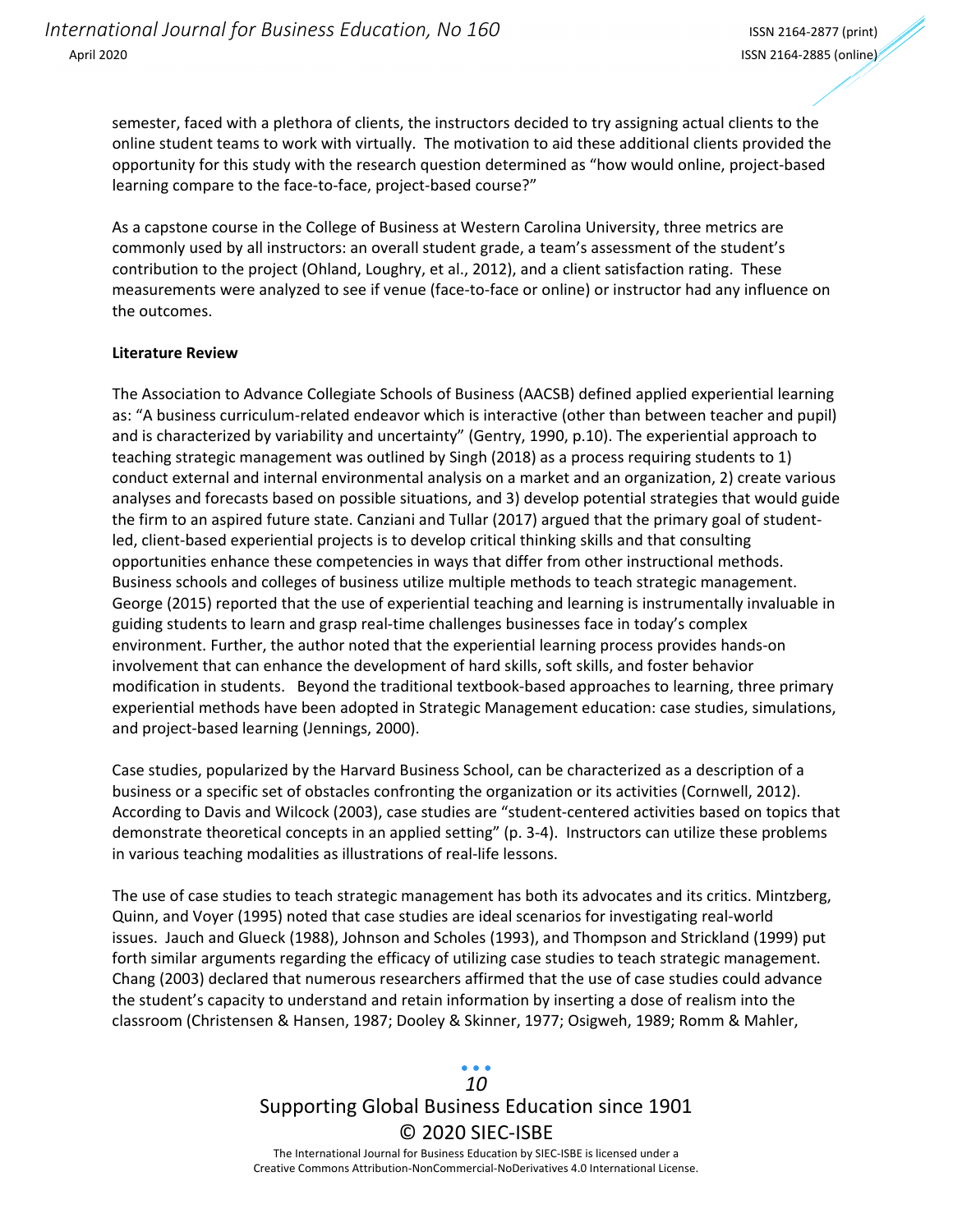semester, faced with a plethora of clients, the instructors decided to try assigning actual clients to the online student teams to work with virtually. The motivation to aid these additional clients provided the opportunity for this study with the research question determined as "how would online, project‐based learning compare to the face-to-face, project-based course?"

As a capstone course in the College of Business at Western Carolina University, three metrics are commonly used by all instructors: an overall student grade, a team's assessment of the student's contribution to the project (Ohland, Loughry, et al., 2012), and a client satisfaction rating. These measurements were analyzed to see if venue (face-to-face or online) or instructor had any influence on the outcomes.

#### **Literature Review**

The Association to Advance Collegiate Schools of Business (AACSB) defined applied experiential learning as: "A business curriculum‐related endeavor which is interactive (other than between teacher and pupil) and is characterized by variability and uncertainty" (Gentry, 1990, p.10). The experiential approach to teaching strategic management was outlined by Singh (2018) as a process requiring students to 1) conduct external and internal environmental analysis on a market and an organization, 2) create various analyses and forecasts based on possible situations, and 3) develop potential strategies that would guide the firm to an aspired future state. Canziani and Tullar (2017) argued that the primary goal of student‐ led, client‐based experiential projects is to develop critical thinking skills and that consulting opportunities enhance these competencies in ways that differ from other instructional methods. Business schools and colleges of business utilize multiple methods to teach strategic management. George (2015) reported that the use of experiential teaching and learning is instrumentally invaluable in guiding students to learn and grasp real‐time challenges businesses face in today's complex environment. Further, the author noted that the experiential learning process provides hands‐on involvement that can enhance the development of hard skills, soft skills, and foster behavior modification in students. Beyond the traditional textbook‐based approaches to learning, three primary experiential methods have been adopted in Strategic Management education: case studies, simulations, and project‐based learning (Jennings, 2000).

Case studies, popularized by the Harvard Business School, can be characterized as a description of a business or a specific set of obstacles confronting the organization or its activities (Cornwell, 2012). According to Davis and Wilcock (2003), case studies are "student‐centered activities based on topics that demonstrate theoretical concepts in an applied setting" (p. 3‐4). Instructors can utilize these problems in various teaching modalities as illustrations of real‐life lessons.

The use of case studies to teach strategic management has both its advocates and its critics. Mintzberg, Quinn, and Voyer (1995) noted that case studies are ideal scenarios for investigating real‐world issues. Jauch and Glueck (1988), Johnson and Scholes (1993), and Thompson and Strickland (1999) put forth similar arguments regarding the efficacy of utilizing case studies to teach strategic management. Chang (2003) declared that numerous researchers affirmed that the use of case studies could advance the student's capacity to understand and retain information by inserting a dose of realism into the classroom (Christensen & Hansen, 1987; Dooley & Skinner, 1977; Osigweh, 1989; Romm & Mahler,

### Supporting Global Business Education since 1901 © 2020 SIEC‐ISBE The International Journal for Business Education by SIEC‐ISBE is licensed under a *10*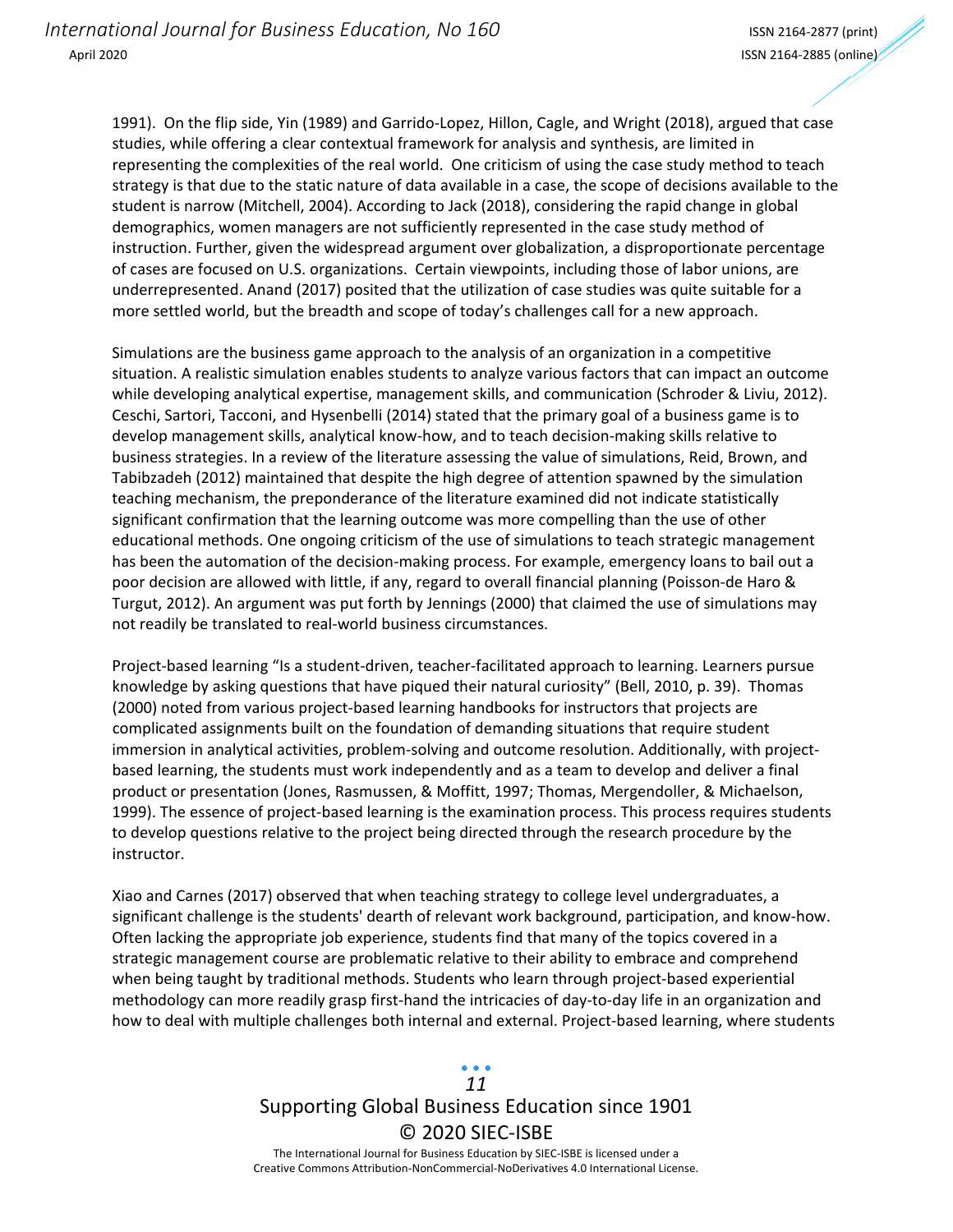1991). On the flip side, Yin (1989) and Garrido‐Lopez, Hillon, Cagle, and Wright (2018), argued that case studies, while offering a clear contextual framework for analysis and synthesis, are limited in representing the complexities of the real world. One criticism of using the case study method to teach strategy is that due to the static nature of data available in a case, the scope of decisions available to the student is narrow (Mitchell, 2004). According to Jack (2018), considering the rapid change in global demographics, women managers are not sufficiently represented in the case study method of instruction. Further, given the widespread argument over globalization, a disproportionate percentage of cases are focused on U.S. organizations. Certain viewpoints, including those of labor unions, are underrepresented. Anand (2017) posited that the utilization of case studies was quite suitable for a more settled world, but the breadth and scope of today's challenges call for a new approach.

Simulations are the business game approach to the analysis of an organization in a competitive situation. A realistic simulation enables students to analyze various factors that can impact an outcome while developing analytical expertise, management skills, and communication (Schroder & Liviu, 2012). Ceschi, Sartori, Tacconi, and Hysenbelli (2014) stated that the primary goal of a business game is to develop management skills, analytical know‐how, and to teach decision‐making skills relative to business strategies. In a review of the literature assessing the value of simulations, Reid, Brown, and Tabibzadeh (2012) maintained that despite the high degree of attention spawned by the simulation teaching mechanism, the preponderance of the literature examined did not indicate statistically significant confirmation that the learning outcome was more compelling than the use of other educational methods. One ongoing criticism of the use of simulations to teach strategic management has been the automation of the decision-making process. For example, emergency loans to bail out a poor decision are allowed with little, if any, regard to overall financial planning (Poisson-de Haro & Turgut, 2012). An argument was put forth by Jennings (2000) that claimed the use of simulations may not readily be translated to real‐world business circumstances.

Project-based learning "Is a student-driven, teacher-facilitated approach to learning. Learners pursue knowledge by asking questions that have piqued their natural curiosity" (Bell, 2010, p. 39). Thomas (2000) noted from various project‐based learning handbooks for instructors that projects are complicated assignments built on the foundation of demanding situations that require student immersion in analytical activities, problem-solving and outcome resolution. Additionally, with projectbased learning, the students must work independently and as a team to develop and deliver a final product or presentation (Jones, Rasmussen, & Moffitt, 1997; Thomas, Mergendoller, & Michaelson, 1999). The essence of project-based learning is the examination process. This process requires students to develop questions relative to the project being directed through the research procedure by the instructor.

Xiao and Carnes (2017) observed that when teaching strategy to college level undergraduates, a significant challenge is the students' dearth of relevant work background, participation, and know‐how. Often lacking the appropriate job experience, students find that many of the topics covered in a strategic management course are problematic relative to their ability to embrace and comprehend when being taught by traditional methods. Students who learn through project-based experiential methodology can more readily grasp first‐hand the intricacies of day‐to‐day life in an organization and how to deal with multiple challenges both internal and external. Project-based learning, where students

## Supporting Global Business Education since 1901 © 2020 SIEC‐ISBE *11*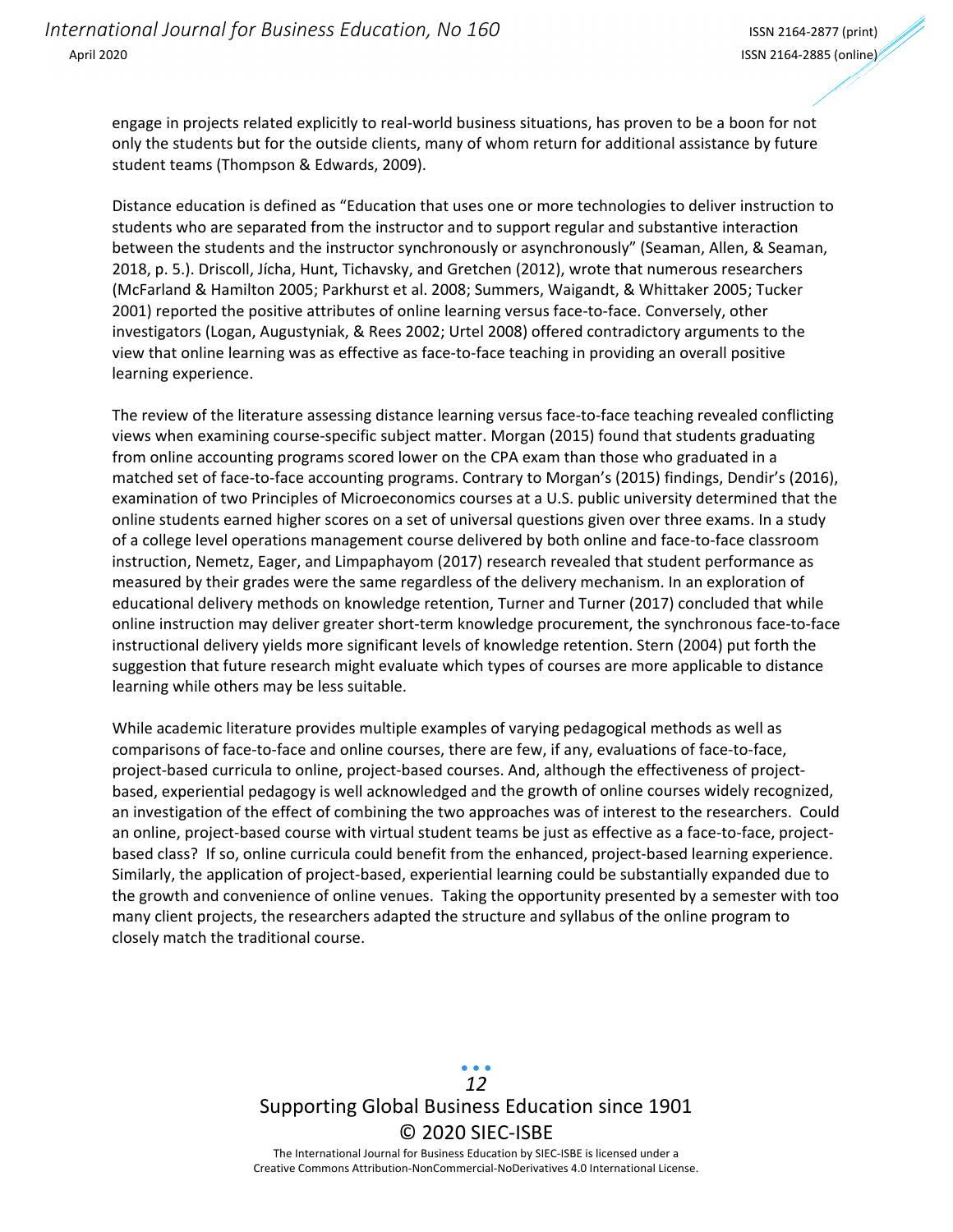engage in projects related explicitly to real‐world business situations, has proven to be a boon for not only the students but for the outside clients, many of whom return for additional assistance by future student teams (Thompson & Edwards, 2009).

Distance education is defined as "Education that uses one or more technologies to deliver instruction to students who are separated from the instructor and to support regular and substantive interaction between the students and the instructor synchronously or asynchronously" (Seaman, Allen, & Seaman, 2018, p. 5.). Driscoll, Jícha, Hunt, Tichavsky, and Gretchen (2012), wrote that numerous researchers (McFarland & Hamilton 2005; Parkhurst et al. 2008; Summers, Waigandt, & Whittaker 2005; Tucker 2001) reported the positive attributes of online learning versus face-to-face. Conversely, other investigators (Logan, Augustyniak, & Rees 2002; Urtel 2008) offered contradictory arguments to the view that online learning was as effective as face‐to‐face teaching in providing an overall positive learning experience.

The review of the literature assessing distance learning versus face-to-face teaching revealed conflicting views when examining course‐specific subject matter. Morgan (2015) found that students graduating from online accounting programs scored lower on the CPA exam than those who graduated in a matched set of face-to-face accounting programs. Contrary to Morgan's (2015) findings, Dendir's (2016), examination of two Principles of Microeconomics courses at a U.S. public university determined that the online students earned higher scores on a set of universal questions given over three exams. In a study of a college level operations management course delivered by both online and face‐to‐face classroom instruction, Nemetz, Eager, and Limpaphayom (2017) research revealed that student performance as measured by their grades were the same regardless of the delivery mechanism. In an exploration of educational delivery methods on knowledge retention, Turner and Turner (2017) concluded that while online instruction may deliver greater short‐term knowledge procurement, the synchronous face‐to‐face instructional delivery yields more significant levels of knowledge retention. Stern (2004) put forth the suggestion that future research might evaluate which types of courses are more applicable to distance learning while others may be less suitable.

While academic literature provides multiple examples of varying pedagogical methods as well as comparisons of face‐to‐face and online courses, there are few, if any, evaluations of face‐to‐face, project-based curricula to online, project-based courses. And, although the effectiveness of projectbased, experiential pedagogy is well acknowledged and the growth of online courses widely recognized, an investigation of the effect of combining the two approaches was of interest to the researchers. Could an online, project-based course with virtual student teams be just as effective as a face-to-face, projectbased class? If so, online curricula could benefit from the enhanced, project-based learning experience. Similarly, the application of project‐based, experiential learning could be substantially expanded due to the growth and convenience of online venues. Taking the opportunity presented by a semester with too many client projects, the researchers adapted the structure and syllabus of the online program to closely match the traditional course.

> Supporting Global Business Education since 1901 © 2020 SIEC‐ISBE The International Journal for Business Education by SIEC‐ISBE is licensed under a *12*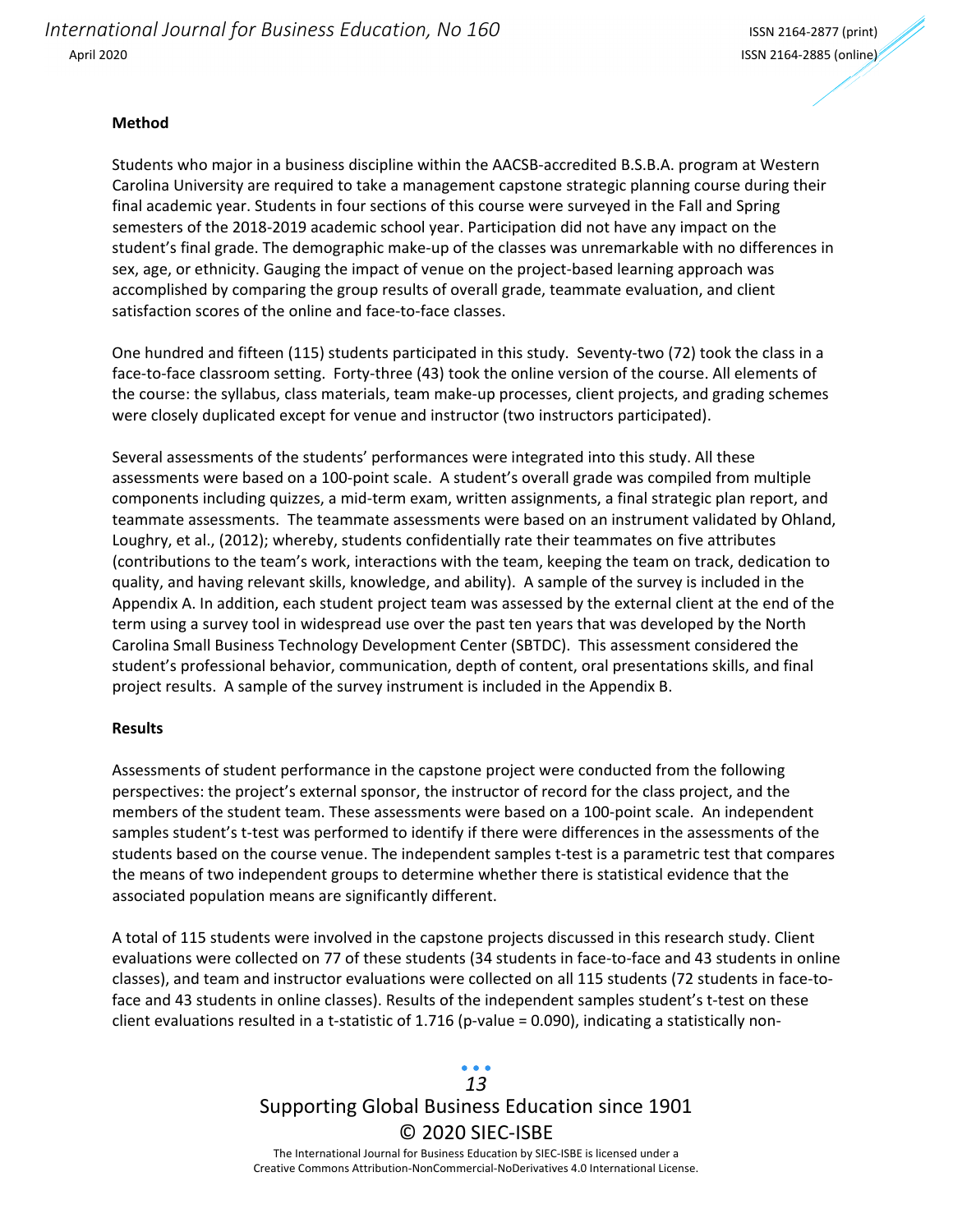*International Journal for Business Education, No 160* ISSN <sup>2164</sup>‐<sup>2877</sup> (print) April 2020 ISSN 2164‐2885 (online)

#### **Method**

Students who major in a business discipline within the AACSB‐accredited B.S.B.A. program at Western Carolina University are required to take a management capstone strategic planning course during their final academic year. Students in four sections of this course were surveyed in the Fall and Spring semesters of the 2018‐2019 academic school year. Participation did not have any impact on the student's final grade. The demographic make‐up of the classes was unremarkable with no differences in sex, age, or ethnicity. Gauging the impact of venue on the project-based learning approach was accomplished by comparing the group results of overall grade, teammate evaluation, and client satisfaction scores of the online and face-to-face classes.

One hundred and fifteen (115) students participated in this study. Seventy-two (72) took the class in a face-to-face classroom setting. Forty-three (43) took the online version of the course. All elements of the course: the syllabus, class materials, team make‐up processes, client projects, and grading schemes were closely duplicated except for venue and instructor (two instructors participated).

Several assessments of the students' performances were integrated into this study. All these assessments were based on a 100‐point scale. A student's overall grade was compiled from multiple components including quizzes, a mid‐term exam, written assignments, a final strategic plan report, and teammate assessments. The teammate assessments were based on an instrument validated by Ohland, Loughry, et al., (2012); whereby, students confidentially rate their teammates on five attributes (contributions to the team's work, interactions with the team, keeping the team on track, dedication to quality, and having relevant skills, knowledge, and ability). A sample of the survey is included in the Appendix A. In addition, each student project team was assessed by the external client at the end of the term using a survey tool in widespread use over the past ten years that was developed by the North Carolina Small Business Technology Development Center (SBTDC). This assessment considered the student's professional behavior, communication, depth of content, oral presentations skills, and final project results. A sample of the survey instrument is included in the Appendix B.

#### **Results**

Assessments of student performance in the capstone project were conducted from the following perspectives: the project's external sponsor, the instructor of record for the class project, and the members of the student team. These assessments were based on a 100‐point scale. An independent samples student's t-test was performed to identify if there were differences in the assessments of the students based on the course venue. The independent samples t‐test is a parametric test that compares the means of two independent groups to determine whether there is statistical evidence that the associated population means are significantly different.

A total of 115 students were involved in the capstone projects discussed in this research study. Client evaluations were collected on 77 of these students (34 students in face-to-face and 43 students in online classes), and team and instructor evaluations were collected on all 115 students (72 students in face-toface and 43 students in online classes). Results of the independent samples student's t-test on these client evaluations resulted in a t-statistic of 1.716 (p-value = 0.090), indicating a statistically non-

### Supporting Global Business Education since 1901 © 2020 SIEC‐ISBE The International Journal for Business Education by SIEC‐ISBE is licensed under a *13*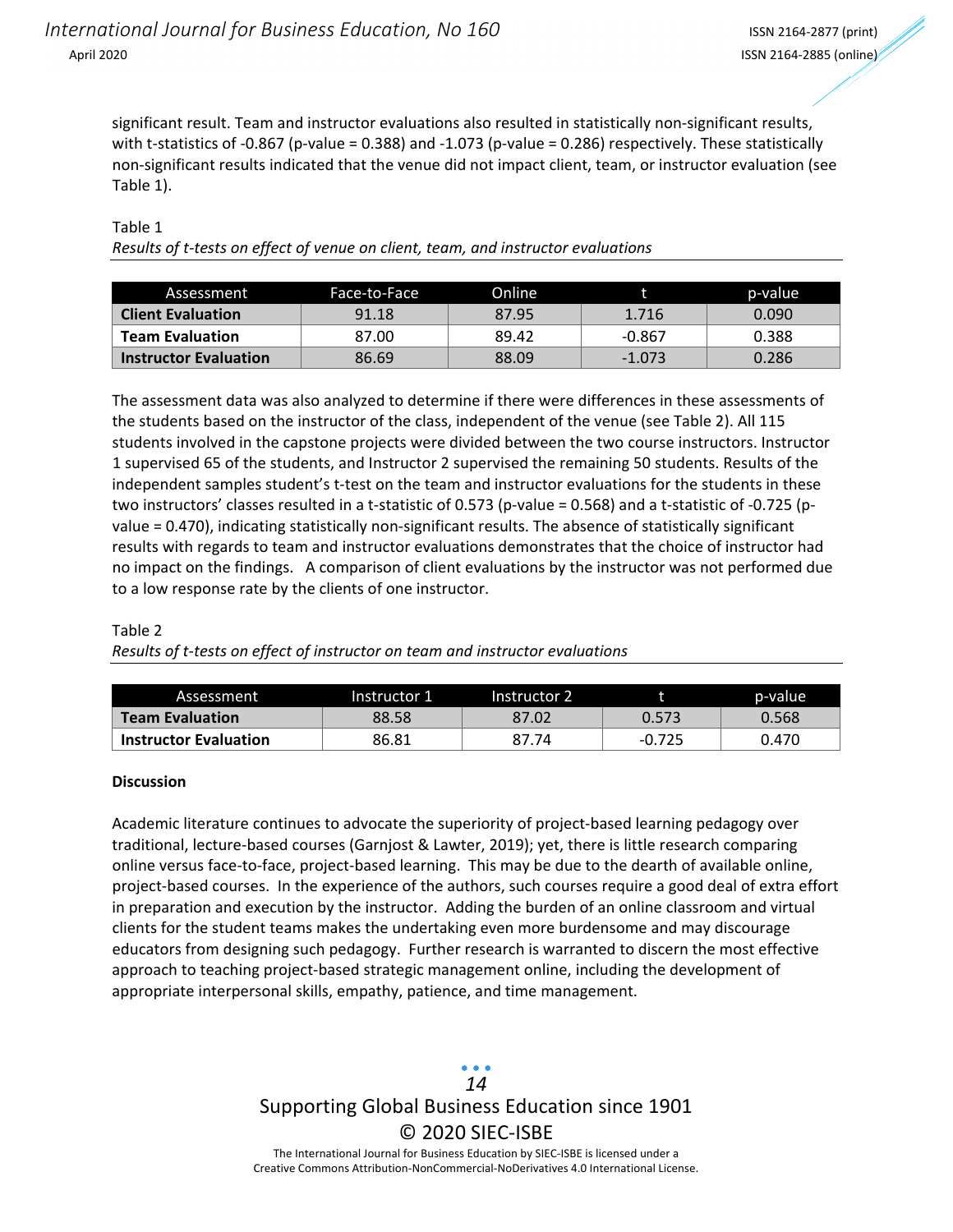significant result. Team and instructor evaluations also resulted in statistically non‐significant results, with t-statistics of -0.867 (p-value = 0.388) and -1.073 (p-value = 0.286) respectively. These statistically non‐significant results indicated that the venue did not impact client, team, or instructor evaluation (see Table 1).

### Table 1

| Results of t-tests on effect of venue on client, team, and instructor evaluations |  |  |
|-----------------------------------------------------------------------------------|--|--|
|                                                                                   |  |  |
|                                                                                   |  |  |

| Assessment                   | Face-to-Face | Online |          | p-value |
|------------------------------|--------------|--------|----------|---------|
| <b>Client Evaluation</b>     | 91.18        | 87.95  | 1.716    | 0.090   |
| <b>Team Evaluation</b>       | 87.00        | 89.42  | $-0.867$ | 0.388   |
| <b>Instructor Evaluation</b> | 86.69        | 88.09  | $-1.073$ | 0.286   |

The assessment data was also analyzed to determine if there were differences in these assessments of the students based on the instructor of the class, independent of the venue (see Table 2). All 115 students involved in the capstone projects were divided between the two course instructors. Instructor 1 supervised 65 of the students, and Instructor 2 supervised the remaining 50 students. Results of the independent samples student's t-test on the team and instructor evaluations for the students in these two instructors' classes resulted in a t-statistic of 0.573 (p-value = 0.568) and a t-statistic of -0.725 (pvalue = 0.470), indicating statistically non-significant results. The absence of statistically significant results with regards to team and instructor evaluations demonstrates that the choice of instructor had no impact on the findings. A comparison of client evaluations by the instructor was not performed due to a low response rate by the clients of one instructor.

### Table 2

*Results of t‐tests on effect of instructor on team and instructor evaluations* 

| Assessment                   | Instructor 1 | Instructor 2 |          | p-value |
|------------------------------|--------------|--------------|----------|---------|
| <b>Team Evaluation</b>       | 88.58        | 87.02        | 0.573    | 0.568   |
| <b>Instructor Evaluation</b> | 86.81        | 87.74        | $-0.725$ | 0.470   |

### **Discussion**

Academic literature continues to advocate the superiority of project‐based learning pedagogy over traditional, lecture‐based courses (Garnjost & Lawter, 2019); yet, there is little research comparing online versus face‐to‐face, project‐based learning. This may be due to the dearth of available online, project-based courses. In the experience of the authors, such courses require a good deal of extra effort in preparation and execution by the instructor. Adding the burden of an online classroom and virtual clients for the student teams makes the undertaking even more burdensome and may discourage educators from designing such pedagogy. Further research is warranted to discern the most effective approach to teaching project‐based strategic management online, including the development of appropriate interpersonal skills, empathy, patience, and time management.

## Supporting Global Business Education since 1901 © 2020 SIEC‐ISBE *14*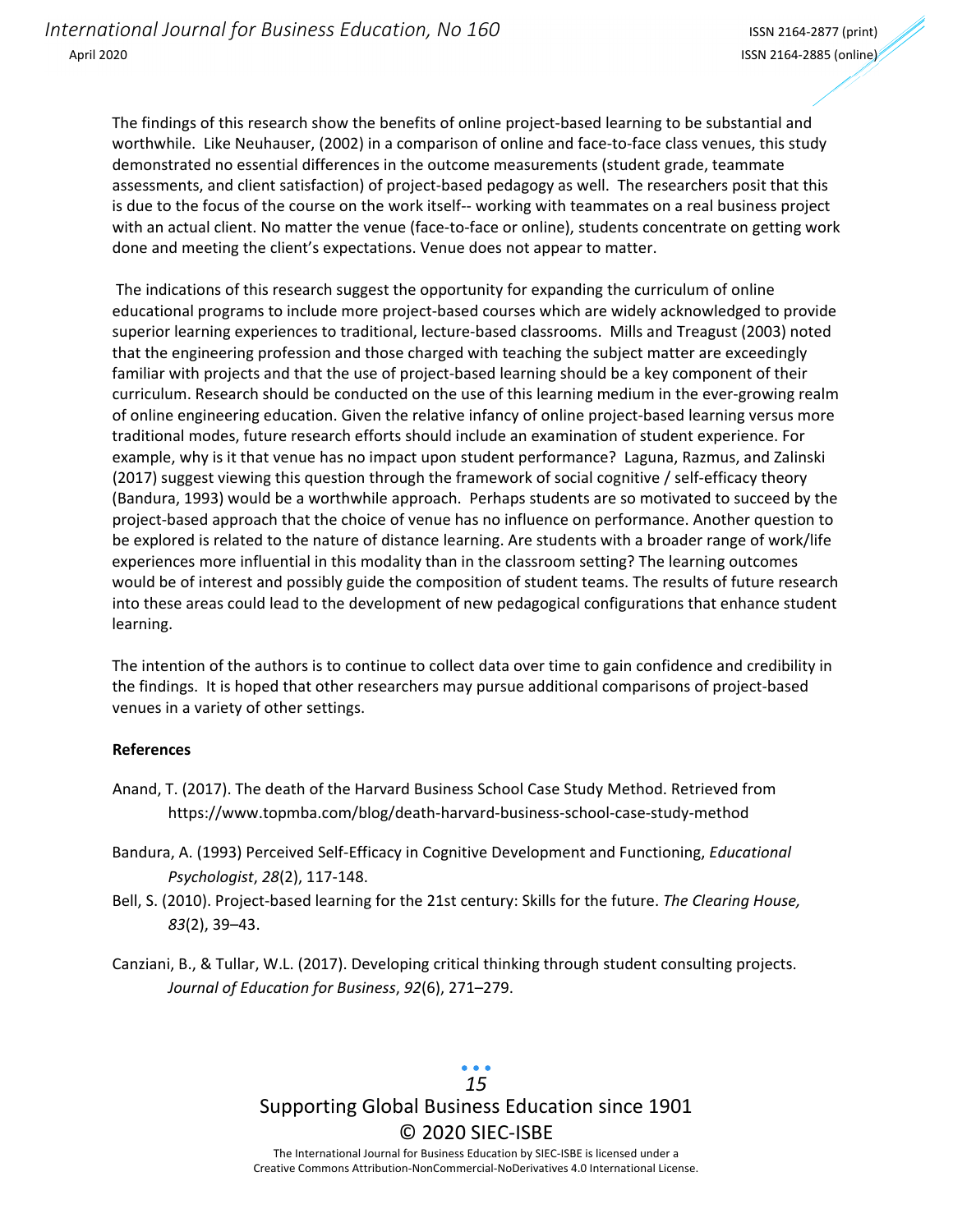The findings of this research show the benefits of online project-based learning to be substantial and worthwhile. Like Neuhauser, (2002) in a comparison of online and face-to-face class venues, this study demonstrated no essential differences in the outcome measurements (student grade, teammate assessments, and client satisfaction) of project‐based pedagogy as well. The researchers posit that this is due to the focus of the course on the work itself‐‐ working with teammates on a real business project with an actual client. No matter the venue (face-to-face or online), students concentrate on getting work done and meeting the client's expectations. Venue does not appear to matter.

The indications of this research suggest the opportunity for expanding the curriculum of online educational programs to include more project‐based courses which are widely acknowledged to provide superior learning experiences to traditional, lecture‐based classrooms. Mills and Treagust (2003) noted that the engineering profession and those charged with teaching the subject matter are exceedingly familiar with projects and that the use of project-based learning should be a key component of their curriculum. Research should be conducted on the use of this learning medium in the ever-growing realm of online engineering education. Given the relative infancy of online project‐based learning versus more traditional modes, future research efforts should include an examination of student experience. For example, why is it that venue has no impact upon student performance? Laguna, Razmus, and Zalinski (2017) suggest viewing this question through the framework of social cognitive / self-efficacy theory (Bandura, 1993) would be a worthwhile approach. Perhaps students are so motivated to succeed by the project-based approach that the choice of venue has no influence on performance. Another question to be explored is related to the nature of distance learning. Are students with a broader range of work/life experiences more influential in this modality than in the classroom setting? The learning outcomes would be of interest and possibly guide the composition of student teams. The results of future research into these areas could lead to the development of new pedagogical configurations that enhance student learning.

The intention of the authors is to continue to collect data over time to gain confidence and credibility in the findings. It is hoped that other researchers may pursue additional comparisons of project-based venues in a variety of other settings.

### **References**

- Anand, T. (2017). The death of the Harvard Business School Case Study Method. Retrieved from https://www.topmba.com/blog/death‐harvard‐business‐school‐case‐study‐method
- Bandura, A. (1993) Perceived Self‐Efficacy in Cognitive Development and Functioning, *Educational Psychologist*, *28*(2), 117‐148.
- Bell, S. (2010). Project‐based learning for the 21st century: Skills for the future. *The Clearing House, 83*(2), 39–43.
- Canziani, B., & Tullar, W.L. (2017). Developing critical thinking through student consulting projects. *Journal of Education for Business*, *92*(6), 271–279.

Supporting Global Business Education since 1901 © 2020 SIEC‐ISBE The International Journal for Business Education by SIEC‐ISBE is licensed under a Creative Commons Attribution‐NonCommercial‐NoDerivatives 4.0 International License. *15*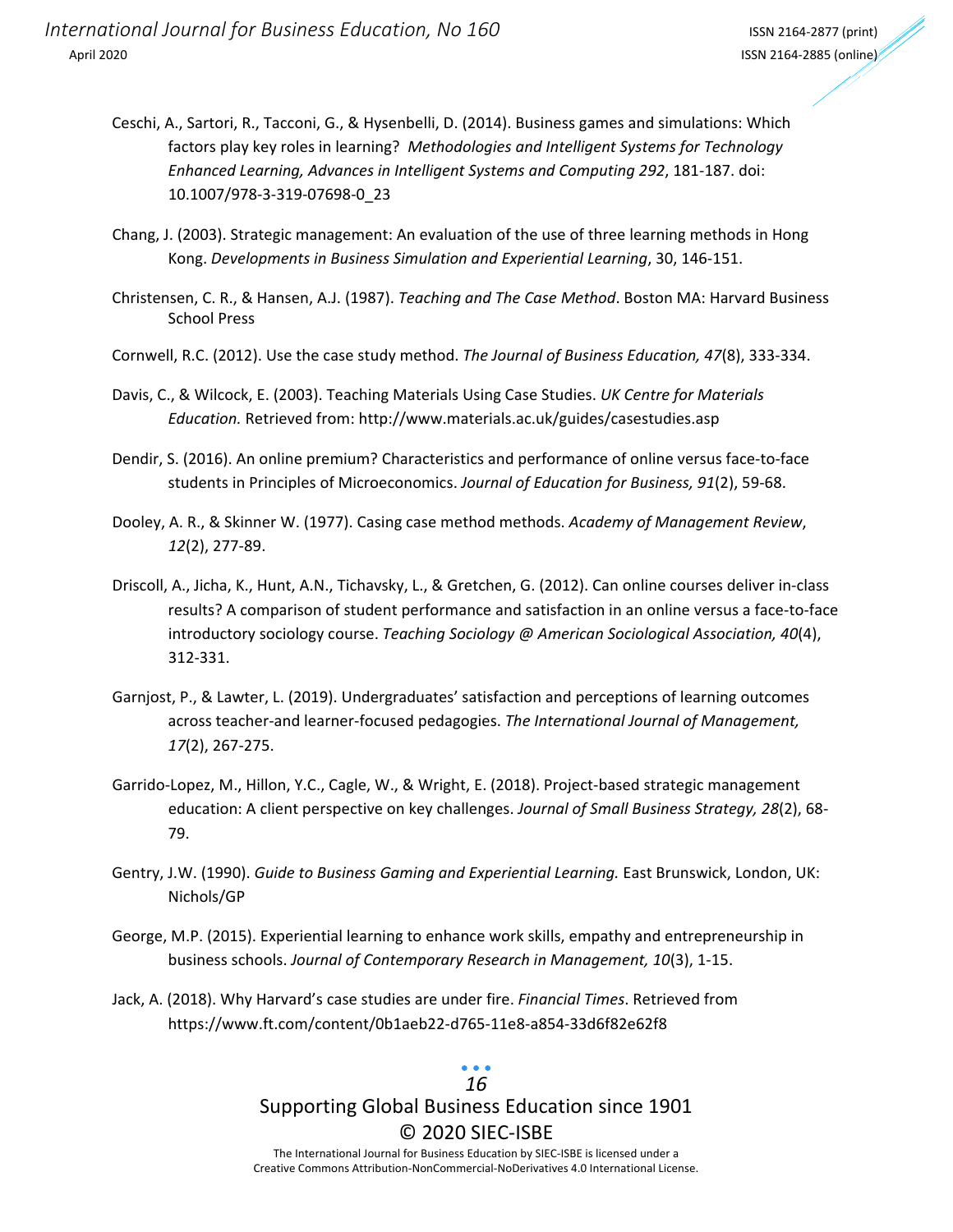- Ceschi, A., Sartori, R., Tacconi, G., & Hysenbelli, D. (2014). Business games and simulations: Which factors play key roles in learning? *Methodologies and Intelligent Systems for Technology Enhanced Learning, Advances in Intelligent Systems and Computing 292*, 181‐187. doi: 10.1007/978‐3‐319‐07698‐0\_23
- Chang, J. (2003). Strategic management: An evaluation of the use of three learning methods in Hong Kong. *Developments in Business Simulation and Experiential Learning*, 30, 146‐151.
- Christensen, C. R., & Hansen, A.J. (1987). *Teaching and The Case Method*. Boston MA: Harvard Business School Press
- Cornwell, R.C. (2012). Use the case study method. *The Journal of Business Education, 47*(8), 333‐334.
- Davis, C., & Wilcock, E. (2003). Teaching Materials Using Case Studies. *UK Centre for Materials Education.* Retrieved from: http://www.materials.ac.uk/guides/casestudies.asp
- Dendir, S. (2016). An online premium? Characteristics and performance of online versus face‐to‐face students in Principles of Microeconomics. *Journal of Education for Business, 91*(2), 59‐68.
- Dooley, A. R., & Skinner W. (1977). Casing case method methods. *Academy of Management Review*, *12*(2), 277‐89.
- Driscoll, A., Jicha, K., Hunt, A.N., Tichavsky, L., & Gretchen, G. (2012). Can online courses deliver in‐class results? A comparison of student performance and satisfaction in an online versus a face‐to‐face introductory sociology course. *Teaching Sociology @ American Sociological Association, 40*(4), 312‐331.
- Garnjost, P., & Lawter, L. (2019). Undergraduates' satisfaction and perceptions of learning outcomes across teacher‐and learner‐focused pedagogies. *The International Journal of Management, 17*(2), 267‐275.
- Garrido‐Lopez, M., Hillon, Y.C., Cagle, W., & Wright, E. (2018). Project‐based strategic management education: A client perspective on key challenges. *Journal of Small Business Strategy, 28*(2), 68‐ 79.
- Gentry, J.W. (1990). *Guide to Business Gaming and Experiential Learning.* East Brunswick, London, UK: Nichols/GP
- George, M.P. (2015). Experiential learning to enhance work skills, empathy and entrepreneurship in business schools. *Journal of Contemporary Research in Management, 10*(3), 1‐15.
- Jack, A. (2018). Why Harvard's case studies are under fire. *Financial Times*. Retrieved from https://www.ft.com/content/0b1aeb22‐d765‐11e8‐a854‐33d6f82e62f8

### Supporting Global Business Education since 1901 © 2020 SIEC‐ISBE The International Journal for Business Education by SIEC‐ISBE is licensed under a *16*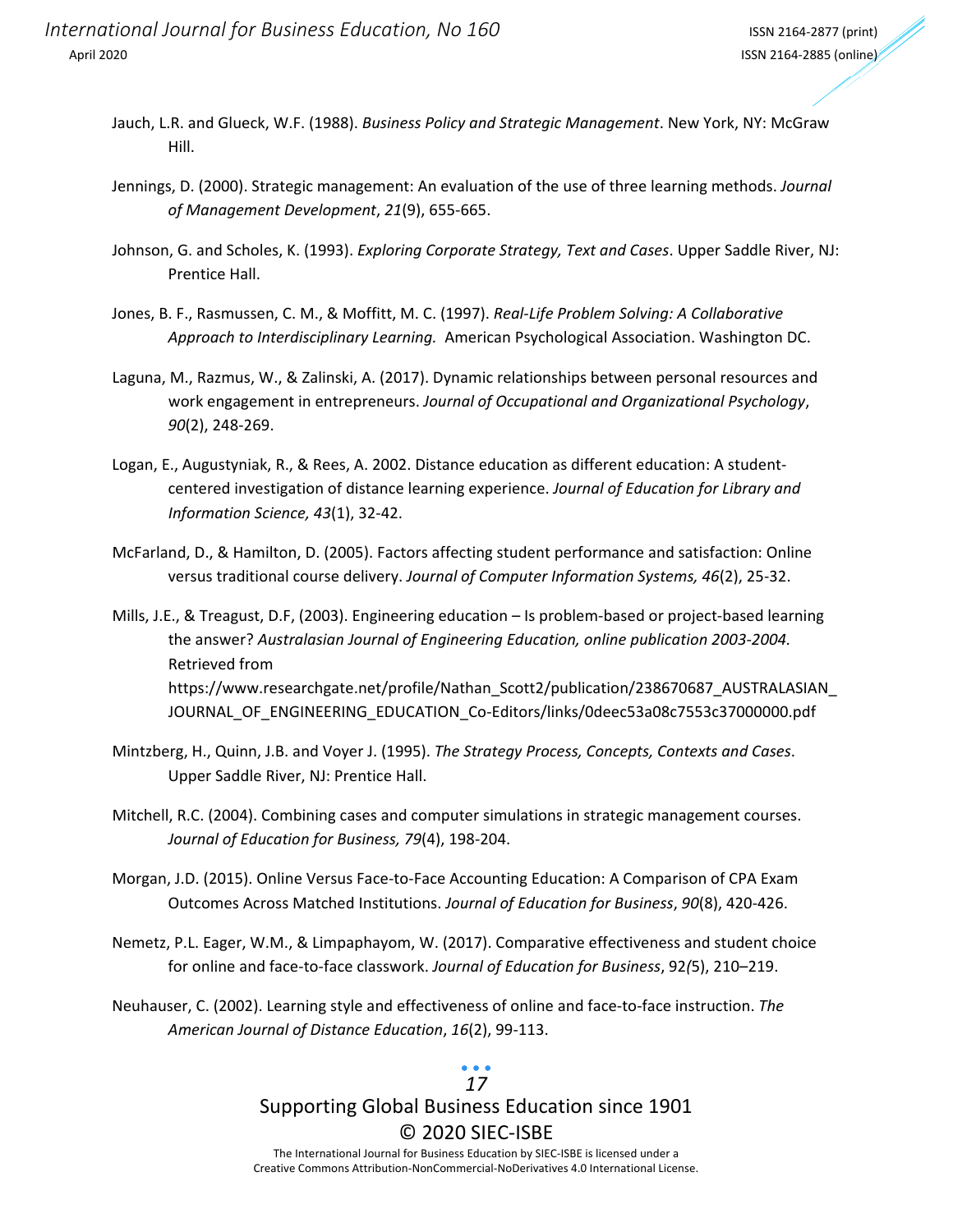- Jauch, L.R. and Glueck, W.F. (1988). *Business Policy and Strategic Management*. New York, NY: McGraw Hill.
- Jennings, D. (2000). Strategic management: An evaluation of the use of three learning methods. *Journal of Management Development*, *21*(9), 655‐665.
- Johnson, G. and Scholes, K. (1993). *Exploring Corporate Strategy, Text and Cases*. Upper Saddle River, NJ: Prentice Hall.
- Jones, B. F., Rasmussen, C. M., & Moffitt, M. C. (1997). *Real‐Life Problem Solving: A Collaborative Approach to Interdisciplinary Learning.* American Psychological Association. Washington DC.
- Laguna, M., Razmus, W., & Zalinski, A. (2017). Dynamic relationships between personal resources and work engagement in entrepreneurs. *Journal of Occupational and Organizational Psychology*, *90*(2), 248‐269.
- Logan, E., Augustyniak, R., & Rees, A. 2002. Distance education as different education: A student‐ centered investigation of distance learning experience. *Journal of Education for Library and Information Science, 43*(1), 32‐42.
- McFarland, D., & Hamilton, D. (2005). Factors affecting student performance and satisfaction: Online versus traditional course delivery. *Journal of Computer Information Systems, 46*(2), 25‐32.

Mills, J.E., & Treagust, D.F, (2003). Engineering education – Is problem-based or project-based learning the answer? *Australasian Journal of Engineering Education, online publication 2003‐2004.* Retrieved from https://www.researchgate.net/profile/Nathan\_Scott2/publication/238670687\_AUSTRALASIAN\_ JOURNAL\_OF\_ENGINEERING\_EDUCATION\_Co-Editors/links/0deec53a08c7553c37000000.pdf

- Mintzberg, H., Quinn, J.B. and Voyer J. (1995). *The Strategy Process, Concepts, Contexts and Cases*. Upper Saddle River, NJ: Prentice Hall.
- Mitchell, R.C. (2004). Combining cases and computer simulations in strategic management courses. *Journal of Education for Business, 79*(4), 198‐204.
- Morgan, J.D. (2015). Online Versus Face‐to‐Face Accounting Education: A Comparison of CPA Exam Outcomes Across Matched Institutions. *Journal of Education for Business*, *90*(8), 420‐426.
- Nemetz, P.L. Eager, W.M., & Limpaphayom, W. (2017). Comparative effectiveness and student choice for online and face‐to‐face classwork. *Journal of Education for Business*, 92*(*5), 210–219.
- Neuhauser, C. (2002). Learning style and effectiveness of online and face‐to‐face instruction. *The American Journal of Distance Education*, *16*(2), 99‐113.

### *17*

# Supporting Global Business Education since 1901 © 2020 SIEC‐ISBE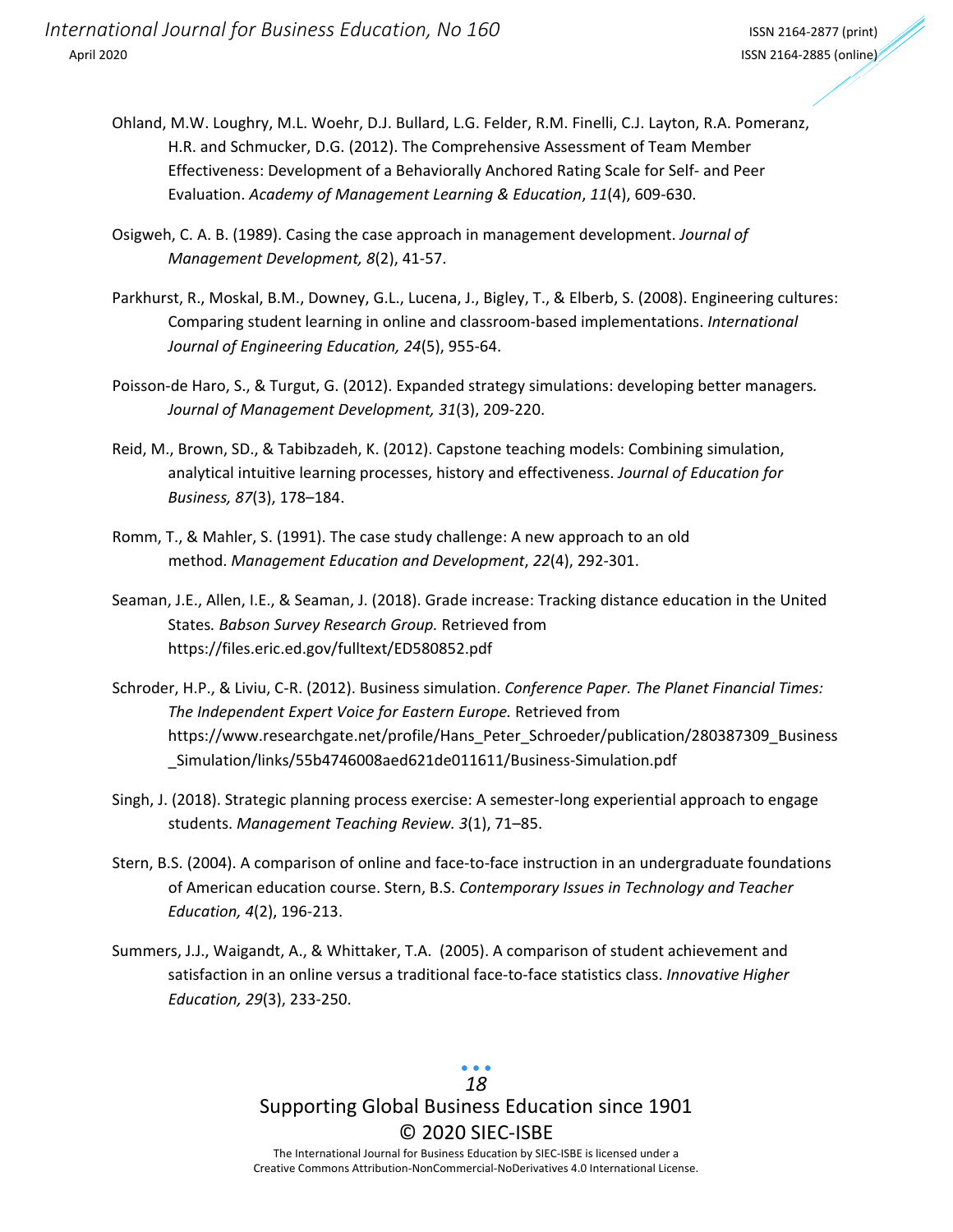- Ohland, M.W. Loughry, M.L. Woehr, D.J. Bullard, L.G. Felder, R.M. Finelli, C.J. Layton, R.A. Pomeranz, H.R. and Schmucker, D.G. (2012). The Comprehensive Assessment of Team Member Effectiveness: Development of a Behaviorally Anchored Rating Scale for Self‐ and Peer Evaluation. *Academy of Management Learning & Education*, *11*(4), 609‐630.
- Osigweh, C. A. B. (1989). Casing the case approach in management development. *Journal of Management Development, 8*(2), 41‐57.
- Parkhurst, R., Moskal, B.M., Downey, G.L., Lucena, J., Bigley, T., & Elberb, S. (2008). Engineering cultures: Comparing student learning in online and classroom‐based implementations. *International Journal of Engineering Education, 24*(5), 955‐64.
- Poisson‐de Haro, S., & Turgut, G. (2012). Expanded strategy simulations: developing better managers*. Journal of Management Development, 31*(3), 209‐220.
- Reid, M., Brown, SD., & Tabibzadeh, K. (2012). Capstone teaching models: Combining simulation, analytical intuitive learning processes, history and effectiveness. *Journal of Education for Business, 87*(3), 178–184.
- Romm, T., & Mahler, S. (1991). The case study challenge: A new approach to an old method. *Management Education and Development*, *22*(4), 292‐301.
- Seaman, J.E., Allen, I.E., & Seaman, J. (2018). Grade increase: Tracking distance education in the United States*. Babson Survey Research Group.* Retrieved from https://files.eric.ed.gov/fulltext/ED580852.pdf
- Schroder, H.P., & Liviu, C‐R. (2012). Business simulation. *Conference Paper. The Planet Financial Times: The Independent Expert Voice for Eastern Europe.* Retrieved from https://www.researchgate.net/profile/Hans\_Peter\_Schroeder/publication/280387309\_Business \_Simulation/links/55b4746008aed621de011611/Business‐Simulation.pdf
- Singh, J. (2018). Strategic planning process exercise: A semester‐long experiential approach to engage students. *Management Teaching Review. 3*(1), 71–85.
- Stern, B.S. (2004). A comparison of online and face-to-face instruction in an undergraduate foundations of American education course. Stern, B.S. *Contemporary Issues in Technology and Teacher Education, 4*(2), 196‐213.
- Summers, J.J., Waigandt, A., & Whittaker, T.A. (2005). A comparison of student achievement and satisfaction in an online versus a traditional face‐to‐face statistics class. *Innovative Higher Education, 29*(3), 233‐250.

Supporting Global Business Education since 1901 © 2020 SIEC‐ISBE The International Journal for Business Education by SIEC‐ISBE is licensed under a Creative Commons Attribution‐NonCommercial‐NoDerivatives 4.0 International License. *18*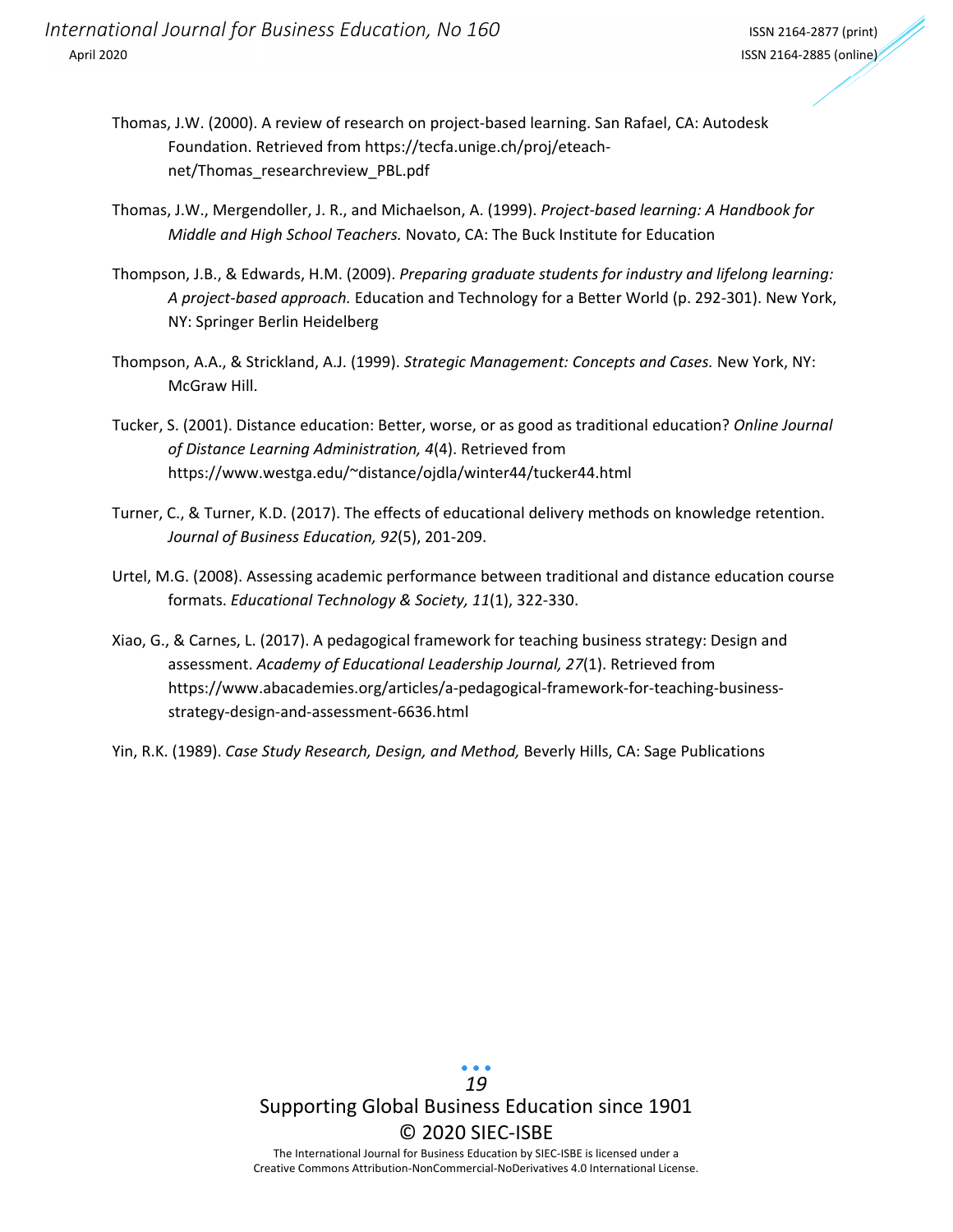*International Journal for Business Education, No 160* ISSN <sup>2164</sup>‐<sup>2877</sup> (print) April 2020 ISSN 2164‐2885 (online)

- Thomas, J.W. (2000). A review of research on project‐based learning. San Rafael, CA: Autodesk Foundation. Retrieved from https://tecfa.unige.ch/proj/eteach‐ net/Thomas\_researchreview\_PBL.pdf
- Thomas, J.W., Mergendoller, J. R., and Michaelson, A. (1999). *Project‐based learning: A Handbook for Middle and High School Teachers.* Novato, CA: The Buck Institute for Education
- Thompson, J.B., & Edwards, H.M. (2009). *Preparing graduate students for industry and lifelong learning: A project‐based approach.* Education and Technology for a Better World (p. 292‐301). New York, NY: Springer Berlin Heidelberg
- Thompson, A.A., & Strickland, A.J. (1999). *Strategic Management: Concepts and Cases.* New York, NY: McGraw Hill.
- Tucker, S. (2001). Distance education: Better, worse, or as good as traditional education? *Online Journal of Distance Learning Administration, 4*(4). Retrieved from https://www.westga.edu/~distance/ojdla/winter44/tucker44.html
- Turner, C., & Turner, K.D. (2017). The effects of educational delivery methods on knowledge retention. *Journal of Business Education, 92*(5), 201‐209.
- Urtel, M.G. (2008). Assessing academic performance between traditional and distance education course formats. *Educational Technology & Society, 11*(1), 322‐330.
- Xiao, G., & Carnes, L. (2017). A pedagogical framework for teaching business strategy: Design and assessment. *Academy of Educational Leadership Journal, 27*(1). Retrieved from https://www.abacademies.org/articles/a‐pedagogical‐framework‐for‐teaching‐business‐ strategy‐design‐and‐assessment‐6636.html
- Yin, R.K. (1989). *Case Study Research, Design, and Method,* Beverly Hills, CA: Sage Publications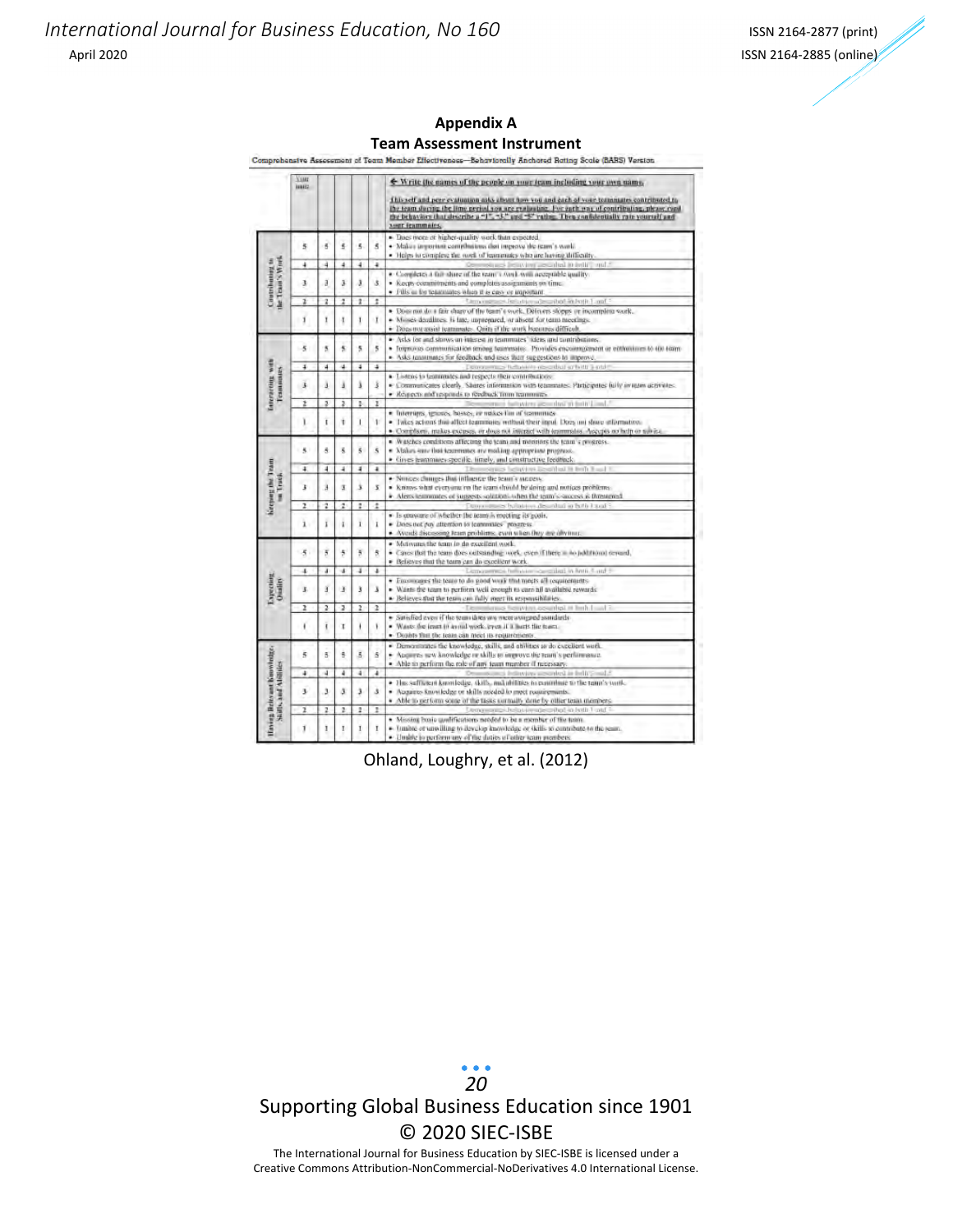### **Appendix A Team Assessment Instrument**

|                                       | <b>Y</b> sser<br><b>INNIE</b> |                         |                |                         |                      | ← Write the names of the people on your team including your own name.                                                                                                                                                                                                                                           |
|---------------------------------------|-------------------------------|-------------------------|----------------|-------------------------|----------------------|-----------------------------------------------------------------------------------------------------------------------------------------------------------------------------------------------------------------------------------------------------------------------------------------------------------------|
|                                       |                               |                         |                |                         |                      | This self and peer evaluation asks about how you and each of your terminates contributed to<br>the team during the lime period you are evaluating. For each way of contributing, please coad<br>the behaviors that describe a "1", "3," and "5" raths. Then confidentially rate yourself and<br>year feammales. |
|                                       |                               |                         |                |                         |                      | · Does were or higher-quality work than expected                                                                                                                                                                                                                                                                |
|                                       | š                             | s,                      | š              | 6                       | ŝ                    | · Makes important complusions don improve the ream's world                                                                                                                                                                                                                                                      |
|                                       |                               |                         |                |                         |                      | · Helps to complete the rooth of teammates who are having difficulty.                                                                                                                                                                                                                                           |
|                                       | $\ddot{}$                     | 4                       | $\overline{a}$ | 4                       | $\ddot{\phantom{1}}$ | Committees bettering a published in brills", and 2                                                                                                                                                                                                                                                              |
|                                       |                               |                         |                |                         |                      | . Completes a fair share of the reant's work wou acceptable quality.                                                                                                                                                                                                                                            |
|                                       | 3                             | ä                       | š              | ä                       | ŝ.                   | · Keeps-commitments and completes assignments on time.                                                                                                                                                                                                                                                          |
|                                       |                               |                         |                |                         |                      | · Fills as for teammates when it is casy or important.                                                                                                                                                                                                                                                          |
| Contributing to<br>the Trans's World  | z.                            | $\overline{\mathbf{z}}$ | $\overline{z}$ | $\ddot{\imath}$         | t                    | There is a set of the transaction and an institution and                                                                                                                                                                                                                                                        |
|                                       |                               |                         |                |                         |                      | · Does not do a fair charg of the team's york. Detroits slopps or incomplete work.                                                                                                                                                                                                                              |
|                                       | $\overline{1}$                | ī                       | T              | Ţ                       | T                    | · Misses-deadlines. Is late, unprepared, or absent for term meetings.<br>Does not assist reannuates. Onits if the work becomes difficult.                                                                                                                                                                       |
|                                       |                               |                         |                |                         |                      |                                                                                                                                                                                                                                                                                                                 |
|                                       | $\overline{5}$                | 5                       | 5              | 5                       | 5                    | · Asks for and shows an interest in teammates' ideas and tamtributions.<br>· formules communication smore teammates. Provides encommentant or enthusiasm to 400 team.                                                                                                                                           |
|                                       |                               |                         |                |                         |                      | · Asks teammates for feedback and uses their supperficus to improve.                                                                                                                                                                                                                                            |
|                                       | 4                             | $\overline{4}$          | ă              | ä                       | 4                    | - Democrates the bands as cabal arbitters and                                                                                                                                                                                                                                                                   |
| interacting with<br><b>Fenningers</b> |                               |                         |                |                         |                      | · Listens to teammates and respects their contributions                                                                                                                                                                                                                                                         |
|                                       | $\overline{5}$                | ä                       | ä              | š                       | š                    | · Communicates clearly. Shares information with teammates: Participates (ulty in ream activities)                                                                                                                                                                                                               |
|                                       |                               |                         |                |                         |                      | · Respects and responds to reedback time teammates.                                                                                                                                                                                                                                                             |
|                                       | ż                             | s                       | 2              | Þ                       | i                    | best the first test and control                                                                                                                                                                                                                                                                                 |
|                                       |                               |                         |                |                         |                      | · Interrupts, ignores, bostes, or makes that of terminues                                                                                                                                                                                                                                                       |
|                                       | ï                             | τ                       | ŧ              | ī                       | $\mathbf{r}$         | · Intes actions that affect teammans, without their input. Does not shore atternation.                                                                                                                                                                                                                          |
|                                       |                               |                         |                |                         |                      | · Complants, makes excuses, or does not instead with trammatos. Accepts no help to notice.                                                                                                                                                                                                                      |
|                                       |                               |                         |                |                         |                      | Watches conditions affecting the team and monitors the team's progress.                                                                                                                                                                                                                                         |
|                                       | $\overline{\phantom{a}}$      | 8                       | 8              | $\ddot{\phantom{0}}$    | 5.                   | · Makes sure that texamines are making appropriant progress.                                                                                                                                                                                                                                                    |
|                                       |                               |                         |                |                         |                      | · Gives teammage-specific, timely, and constructive feedback.                                                                                                                                                                                                                                                   |
|                                       | 4                             | 4                       | 4              | ٤                       | $\ddot{\phantom{1}}$ | Thomsques believing level but it finds that it                                                                                                                                                                                                                                                                  |
| un Track                              | 3                             | ä                       | ġ.             | ż                       | 3                    | · Nunces changes that inflaence the team's aucress.<br>Knows what everyong on the team should by doing and notices problems.                                                                                                                                                                                    |
|                                       |                               |                         |                |                         |                      | Alerts teammates of surprests solitions when the term's success is threatened.                                                                                                                                                                                                                                  |
| <b>Keeping the Team</b>               | z                             | ż                       | 2              | ı                       | t                    | Donor was balation described in both I and 3                                                                                                                                                                                                                                                                    |
|                                       |                               |                         |                |                         |                      | · Is quasagre of whether the team is moeting its goots.                                                                                                                                                                                                                                                         |
|                                       | ì                             | ī                       | ī              | $\mathbf{I}$            | $\mathbf{I}$         | · Does not pay attention to teammates preacess.                                                                                                                                                                                                                                                                 |
|                                       |                               |                         |                |                         |                      | Avoids discussing fearn problems, even when they are ally must.                                                                                                                                                                                                                                                 |
|                                       |                               |                         |                |                         |                      | Mutivansche team in do excellent work.                                                                                                                                                                                                                                                                          |
|                                       | 5                             | $\overline{\mathbf{5}}$ | 5              | ă                       | 8                    | · Cancellist the team does outstanding work, even if there is no holdtronal terrard,                                                                                                                                                                                                                            |
|                                       |                               |                         |                |                         |                      | · Believes that the team can do exection work.                                                                                                                                                                                                                                                                  |
|                                       | 4                             | ä                       | ă              | ä                       | ٠                    | Demonstrates he want conceiled in hom. Land 5                                                                                                                                                                                                                                                                   |
| Expecting<br>Osafity                  |                               |                         |                |                         |                      | · Financiates the team to do good work that meets all requirements.                                                                                                                                                                                                                                             |
|                                       | ł,                            | š                       | ã              | š                       | Ä                    | Wants the team to perform well enough to cars all available rewards:                                                                                                                                                                                                                                            |
|                                       |                               |                         |                |                         |                      | · Believes that the team can fully meet its responsibilities.                                                                                                                                                                                                                                                   |
|                                       | ı                             | z                       | z              | $\mathbf{z}$            | z                    | Le moins heaving assigned in high hand?                                                                                                                                                                                                                                                                         |
|                                       | ï                             | ī                       | x              |                         | ١                    | · Satisfied even if the team three was meet a sugged assurdants<br>٠<br>Wants the jeant in avoid work, even if a barts the tenta-                                                                                                                                                                               |
|                                       |                               |                         |                |                         |                      | · Doubly that the team can meet its requirements                                                                                                                                                                                                                                                                |
|                                       |                               |                         |                |                         |                      | Demonstrates the knowledge, skills, and abilities at do excellent work.<br>×.                                                                                                                                                                                                                                   |
|                                       | $\overline{\mathbf{5}}$       | 5                       | ġ.             | $\overline{\mathbf{5}}$ | ß.                   | · Accores sew knowledge or skills to improve the ream's performance.                                                                                                                                                                                                                                            |
|                                       |                               |                         |                |                         |                      | · Able to perform the role of any team member if necessary.                                                                                                                                                                                                                                                     |
| Having Belevant Koowledge,            | 4                             | 4                       | 4              | à                       | $\ddot{\phantom{0}}$ | Demonstrated indirecting accorded in helit@out.4                                                                                                                                                                                                                                                                |
|                                       |                               |                         |                |                         |                      | · Has sufficient knowledge, (kills, and abilities to contribute to the raint's work-                                                                                                                                                                                                                            |
|                                       | 3                             | ь                       | s              | ä                       | s                    | · Augustos Rnowledge or skills needed to meet reastirements.                                                                                                                                                                                                                                                    |
| Stats, and Ablinks                    |                               |                         |                |                         |                      | · Able to get form some of the tasks normally done by other team members.                                                                                                                                                                                                                                       |
|                                       | ı                             | 2                       | $\mathfrak{p}$ | 2                       | ı                    | Leona control behavior advertised in both 1 catd.                                                                                                                                                                                                                                                               |
|                                       |                               |                         |                |                         |                      | • Missing basic qualifications needed to be a member of the team.                                                                                                                                                                                                                                               |
|                                       | $\mathbf{I}$                  | ı                       | Ţ.             | Ī                       | Ţ,                   | · Junited of unwilling to develop knowledge or skills as contribute to the ream.<br>. Thubbe to reefform any of the duties of rative team members.                                                                                                                                                              |
|                                       |                               |                         |                |                         |                      |                                                                                                                                                                                                                                                                                                                 |

Ohland, Loughry, et al. (2012)

 $\bullet$   $\bullet$   $\bullet$ *20* Supporting Global Business Education since 1901 © 2020 SIEC‐ISBE